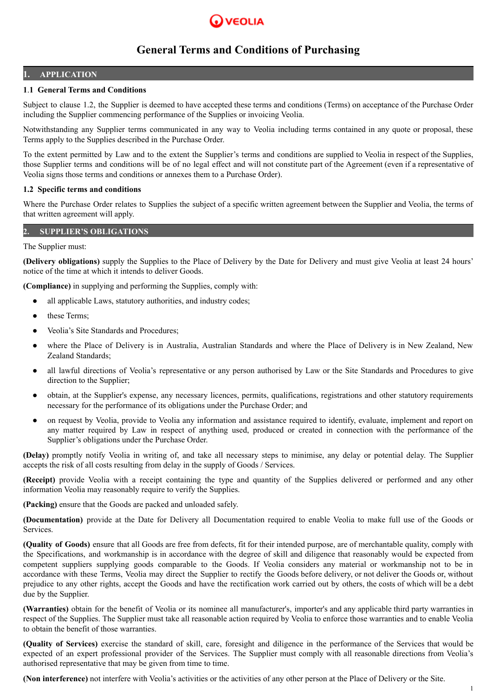

### **1. APPLICATION**

# **1**.**1 General Terms and Conditions**

Subject to clause 1.2, the Supplier is deemed to have accepted these terms and conditions (Terms) on acceptance of the Purchase Order including the Supplier commencing performance of the Supplies or invoicing Veolia.

Notwithstanding any Supplier terms communicated in any way to Veolia including terms contained in any quote or proposal, these Terms apply to the Supplies described in the Purchase Order.

To the extent permitted by Law and to the extent the Supplier's terms and conditions are supplied to Veolia in respect of the Supplies, those Supplier terms and conditions will be of no legal effect and will not constitute part of the Agreement (even if a representative of Veolia signs those terms and conditions or annexes them to a Purchase Order).

### **1.2 Specific terms and conditions**

Where the Purchase Order relates to Supplies the subject of a specific written agreement between the Supplier and Veolia, the terms of that written agreement will apply.

# **2. SUPPLIER'S OBLIGATIONS**

The Supplier must:

**(Delivery obligations)** supply the Supplies to the Place of Delivery by the Date for Delivery and must give Veolia at least 24 hours' notice of the time at which it intends to deliver Goods.

**(Compliance)** in supplying and performing the Supplies, comply with:

- all applicable Laws, statutory authorities, and industry codes;
- these Terms:
- Veolia's Site Standards and Procedures;
- where the Place of Delivery is in Australia, Australian Standards and where the Place of Delivery is in New Zealand, New Zealand Standards;
- all lawful directions of Veolia's representative or any person authorised by Law or the Site Standards and Procedures to give direction to the Supplier;
- obtain, at the Supplier's expense, any necessary licences, permits, qualifications, registrations and other statutory requirements necessary for the performance of its obligations under the Purchase Order; and
- on request by Veolia, provide to Veolia any information and assistance required to identify, evaluate, implement and report on any matter required by Law in respect of anything used, produced or created in connection with the performance of the Supplier's obligations under the Purchase Order.

**(Delay)** promptly notify Veolia in writing of, and take all necessary steps to minimise, any delay or potential delay. The Supplier accepts the risk of all costs resulting from delay in the supply of Goods / Services.

**(Receipt)** provide Veolia with a receipt containing the type and quantity of the Supplies delivered or performed and any other information Veolia may reasonably require to verify the Supplies.

**(Packing)** ensure that the Goods are packed and unloaded safely.

**(Documentation)** provide at the Date for Delivery all Documentation required to enable Veolia to make full use of the Goods or Services.

**(Quality of Goods)** ensure that all Goods are free from defects, fit for their intended purpose, are of merchantable quality, comply with the Specifications, and workmanship is in accordance with the degree of skill and diligence that reasonably would be expected from competent suppliers supplying goods comparable to the Goods. If Veolia considers any material or workmanship not to be in accordance with these Terms, Veolia may direct the Supplier to rectify the Goods before delivery, or not deliver the Goods or, without prejudice to any other rights, accept the Goods and have the rectification work carried out by others, the costs of which will be a debt due by the Supplier.

**(Warranties)** obtain for the benefit of Veolia or its nominee all manufacturer's, importer's and any applicable third party warranties in respect of the Supplies. The Supplier must take all reasonable action required by Veolia to enforce those warranties and to enable Veolia to obtain the benefit of those warranties.

**(Quality of Services)** exercise the standard of skill, care, foresight and diligence in the performance of the Services that would be expected of an expert professional provider of the Services. The Supplier must comply with all reasonable directions from Veolia's authorised representative that may be given from time to time.

**(Non interference)** not interfere with Veolia's activities or the activities of any other person at the Place of Delivery or the Site.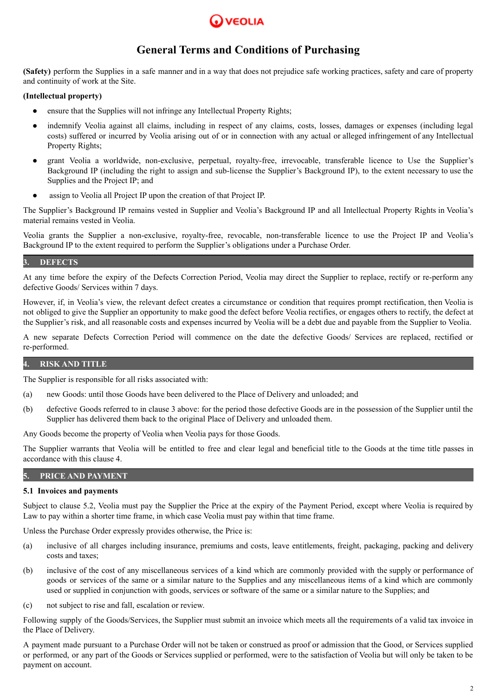

**(Safety)** perform the Supplies in a safe manner and in a way that does not prejudice safe working practices, safety and care of property and continuity of work at the Site.

### **(Intellectual property)**

- ensure that the Supplies will not infringe any Intellectual Property Rights;
- indemnify Veolia against all claims, including in respect of any claims, costs, losses, damages or expenses (including legal costs) suffered or incurred by Veolia arising out of or in connection with any actual or alleged infringement of any Intellectual Property Rights;
- grant Veolia a worldwide, non-exclusive, perpetual, royalty-free, irrevocable, transferable licence to Use the Supplier's Background IP (including the right to assign and sub-license the Supplier's Background IP), to the extent necessary to use the Supplies and the Project IP; and
- assign to Veolia all Project IP upon the creation of that Project IP.

The Supplier's Background IP remains vested in Supplier and Veolia's Background IP and all Intellectual Property Rights in Veolia's material remains vested in Veolia.

Veolia grants the Supplier a non-exclusive, royalty-free, revocable, non-transferable licence to use the Project IP and Veolia's Background IP to the extent required to perform the Supplier's obligations under a Purchase Order.

# **3. DEFECTS**

At any time before the expiry of the Defects Correction Period, Veolia may direct the Supplier to replace, rectify or re-perform any defective Goods/ Services within 7 days.

However, if, in Veolia's view, the relevant defect creates a circumstance or condition that requires prompt rectification, then Veolia is not obliged to give the Supplier an opportunity to make good the defect before Veolia rectifies, or engages others to rectify, the defect at the Supplier's risk, and all reasonable costs and expenses incurred by Veolia will be a debt due and payable from the Supplier to Veolia.

A new separate Defects Correction Period will commence on the date the defective Goods/ Services are replaced, rectified or re-performed.

### **4. RISK AND TITLE**

The Supplier is responsible for all risks associated with:

- (a) new Goods: until those Goods have been delivered to the Place of Delivery and unloaded; and
- (b) defective Goods referred to in clause 3 above: for the period those defective Goods are in the possession of the Supplier until the Supplier has delivered them back to the original Place of Delivery and unloaded them.

Any Goods become the property of Veolia when Veolia pays for those Goods.

The Supplier warrants that Veolia will be entitled to free and clear legal and beneficial title to the Goods at the time title passes in accordance with this clause 4.

# **5. PRICE AND PAYMENT**

### **5.1 Invoices and payments**

Subject to clause 5.2, Veolia must pay the Supplier the Price at the expiry of the Payment Period, except where Veolia is required by Law to pay within a shorter time frame, in which case Veolia must pay within that time frame.

Unless the Purchase Order expressly provides otherwise, the Price is:

- (a) inclusive of all charges including insurance, premiums and costs, leave entitlements, freight, packaging, packing and delivery costs and taxes;
- (b) inclusive of the cost of any miscellaneous services of a kind which are commonly provided with the supply or performance of goods or services of the same or a similar nature to the Supplies and any miscellaneous items of a kind which are commonly used or supplied in conjunction with goods, services or software of the same or a similar nature to the Supplies; and
- (c) not subject to rise and fall, escalation or review.

Following supply of the Goods/Services, the Supplier must submit an invoice which meets all the requirements of a valid tax invoice in the Place of Delivery.

A payment made pursuant to a Purchase Order will not be taken or construed as proof or admission that the Good, or Services supplied or performed, or any part of the Goods or Services supplied or performed, were to the satisfaction of Veolia but will only be taken to be payment on account.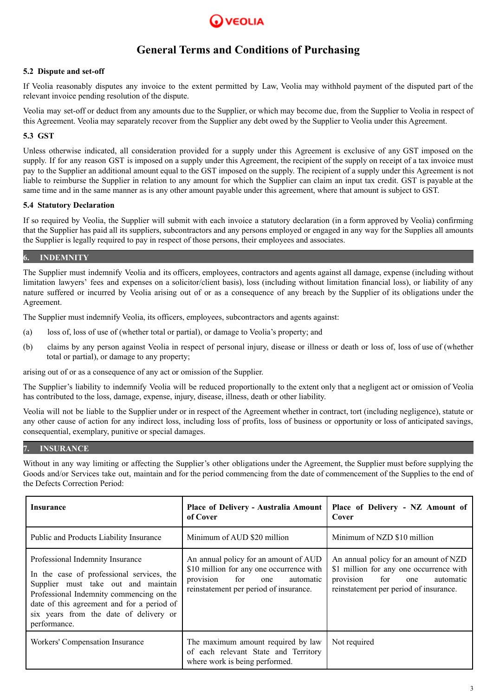

# **5.2 Dispute and set-off**

If Veolia reasonably disputes any invoice to the extent permitted by Law, Veolia may withhold payment of the disputed part of the relevant invoice pending resolution of the dispute.

Veolia may set-off or deduct from any amounts due to the Supplier, or which may become due, from the Supplier to Veolia in respect of this Agreement. Veolia may separately recover from the Supplier any debt owed by the Supplier to Veolia under this Agreement.

# **5.3 GST**

Unless otherwise indicated, all consideration provided for a supply under this Agreement is exclusive of any GST imposed on the supply. If for any reason GST is imposed on a supply under this Agreement, the recipient of the supply on receipt of a tax invoice must pay to the Supplier an additional amount equal to the GST imposed on the supply. The recipient of a supply under this Agreement is not liable to reimburse the Supplier in relation to any amount for which the Supplier can claim an input tax credit. GST is payable at the same time and in the same manner as is any other amount payable under this agreement, where that amount is subject to GST.

### **5.4 Statutory Declaration**

If so required by Veolia, the Supplier will submit with each invoice a statutory declaration (in a form approved by Veolia) confirming that the Supplier has paid all its suppliers, subcontractors and any persons employed or engaged in any way for the Supplies all amounts the Supplier is legally required to pay in respect of those persons, their employees and associates.

# **6. INDEMNITY**

The Supplier must indemnify Veolia and its officers, employees, contractors and agents against all damage, expense (including without limitation lawyers' fees and expenses on a solicitor/client basis), loss (including without limitation financial loss), or liability of any nature suffered or incurred by Veolia arising out of or as a consequence of any breach by the Supplier of its obligations under the Agreement.

The Supplier must indemnify Veolia, its officers, employees, subcontractors and agents against:

- (a) loss of, loss of use of (whether total or partial), or damage to Veolia's property; and
- (b) claims by any person against Veolia in respect of personal injury, disease or illness or death or loss of, loss of use of (whether total or partial), or damage to any property;

arising out of or as a consequence of any act or omission of the Supplier.

The Supplier's liability to indemnify Veolia will be reduced proportionally to the extent only that a negligent act or omission of Veolia has contributed to the loss, damage, expense, injury, disease, illness, death or other liability.

Veolia will not be liable to the Supplier under or in respect of the Agreement whether in contract, tort (including negligence), statute or any other cause of action for any indirect loss, including loss of profits, loss of business or opportunity or loss of anticipated savings, consequential, exemplary, punitive or special damages.

# **7. INSURANCE**

Without in any way limiting or affecting the Supplier's other obligations under the Agreement, the Supplier must before supplying the Goods and/or Services take out, maintain and for the period commencing from the date of commencement of the Supplies to the end of the Defects Correction Period:

| Insurance                                                                                                                                                                                                                                                                | Place of Delivery - Australia Amount<br>of Cover                                                                                                                 | Place of Delivery - NZ Amount of<br>Cover                                                                                                                          |
|--------------------------------------------------------------------------------------------------------------------------------------------------------------------------------------------------------------------------------------------------------------------------|------------------------------------------------------------------------------------------------------------------------------------------------------------------|--------------------------------------------------------------------------------------------------------------------------------------------------------------------|
| Public and Products Liability Insurance                                                                                                                                                                                                                                  | Minimum of AUD \$20 million                                                                                                                                      | Minimum of NZD \$10 million                                                                                                                                        |
| Professional Indemnity Insurance<br>In the case of professional services, the<br>Supplier must take out and maintain<br>Professional Indemnity commencing on the<br>date of this agreement and for a period of<br>six years from the date of delivery or<br>performance. | An annual policy for an amount of AUD<br>\$10 million for any one occurrence with<br>for one<br>provision<br>automatic<br>reinstatement per period of insurance. | An annual policy for an amount of NZD<br>\$1 million for any one occurrence with<br>provision<br>for<br>automatic<br>one<br>reinstatement per period of insurance. |
| Workers' Compensation Insurance                                                                                                                                                                                                                                          | The maximum amount required by law<br>of each relevant State and Territory<br>where work is being performed.                                                     | Not required                                                                                                                                                       |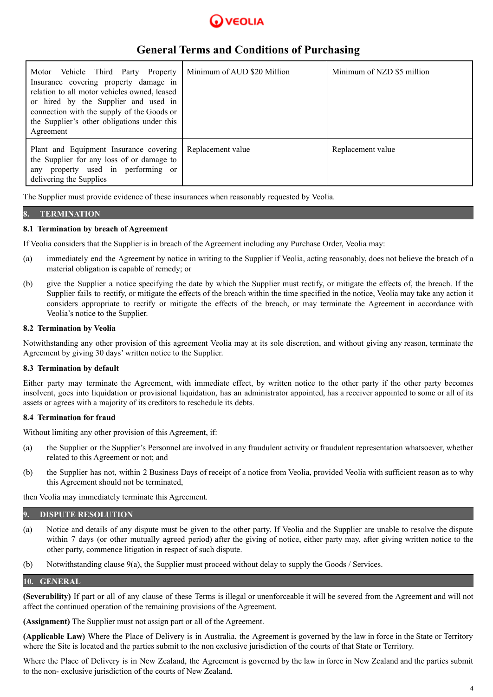

| Motor Vehicle Third Party Property<br>Insurance covering property damage in<br>relation to all motor vehicles owned, leased<br>or hired by the Supplier and used in<br>connection with the supply of the Goods or<br>the Supplier's other obligations under this<br>Agreement | Minimum of AUD \$20 Million | Minimum of NZD \$5 million |
|-------------------------------------------------------------------------------------------------------------------------------------------------------------------------------------------------------------------------------------------------------------------------------|-----------------------------|----------------------------|
| Plant and Equipment Insurance covering<br>the Supplier for any loss of or damage to<br>any property used in performing or<br>delivering the Supplies                                                                                                                          | Replacement value           | Replacement value          |

The Supplier must provide evidence of these insurances when reasonably requested by Veolia.

# **8. TERMINATION**

#### **8.1 Termination by breach of Agreement**

If Veolia considers that the Supplier is in breach of the Agreement including any Purchase Order, Veolia may:

- (a) immediately end the Agreement by notice in writing to the Supplier if Veolia, acting reasonably, does not believe the breach of a material obligation is capable of remedy; or
- (b) give the Supplier a notice specifying the date by which the Supplier must rectify, or mitigate the effects of, the breach. If the Supplier fails to rectify, or mitigate the effects of the breach within the time specified in the notice, Veolia may take any action it considers appropriate to rectify or mitigate the effects of the breach, or may terminate the Agreement in accordance with Veolia's notice to the Supplier.

### **8.2 Termination by Veolia**

Notwithstanding any other provision of this agreement Veolia may at its sole discretion, and without giving any reason, terminate the Agreement by giving 30 days' written notice to the Supplier.

### **8.3 Termination by default**

Either party may terminate the Agreement, with immediate effect, by written notice to the other party if the other party becomes insolvent, goes into liquidation or provisional liquidation, has an administrator appointed, has a receiver appointed to some or all of its assets or agrees with a majority of its creditors to reschedule its debts.

#### **8.4 Termination for fraud**

Without limiting any other provision of this Agreement, if:

- (a) the Supplier or the Supplier's Personnel are involved in any fraudulent activity or fraudulent representation whatsoever, whether related to this Agreement or not; and
- (b) the Supplier has not, within 2 Business Days of receipt of a notice from Veolia, provided Veolia with sufficient reason as to why this Agreement should not be terminated,

then Veolia may immediately terminate this Agreement.

### **9. DISPUTE RESOLUTION**

- (a) Notice and details of any dispute must be given to the other party. If Veolia and the Supplier are unable to resolve the dispute within 7 days (or other mutually agreed period) after the giving of notice, either party may, after giving written notice to the other party, commence litigation in respect of such dispute.
- (b) Notwithstanding clause 9(a), the Supplier must proceed without delay to supply the Goods / Services.

### **10. GENERAL**

**(Severability)** If part or all of any clause of these Terms is illegal or unenforceable it will be severed from the Agreement and will not affect the continued operation of the remaining provisions of the Agreement.

**(Assignment)** The Supplier must not assign part or all of the Agreement.

**(Applicable Law)** Where the Place of Delivery is in Australia, the Agreement is governed by the law in force in the State or Territory where the Site is located and the parties submit to the non exclusive jurisdiction of the courts of that State or Territory.

Where the Place of Delivery is in New Zealand, the Agreement is governed by the law in force in New Zealand and the parties submit to the non- exclusive jurisdiction of the courts of New Zealand.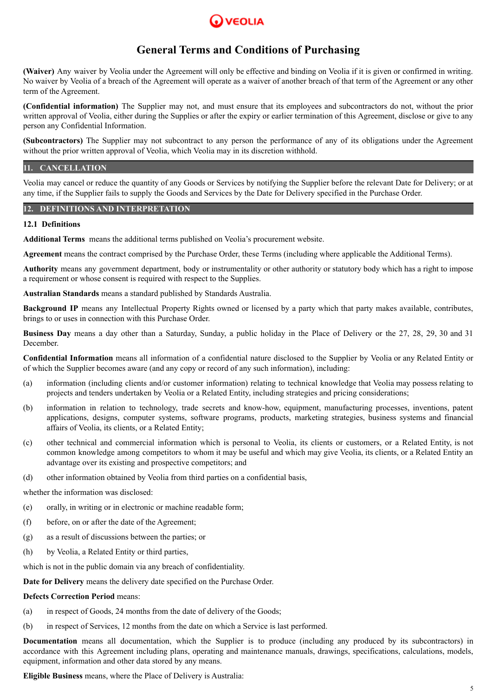

**(Waiver)** Any waiver by Veolia under the Agreement will only be effective and binding on Veolia if it is given or confirmed in writing. No waiver by Veolia of a breach of the Agreement will operate as a waiver of another breach of that term of the Agreement or any other term of the Agreement.

**(Confidential information)** The Supplier may not, and must ensure that its employees and subcontractors do not, without the prior written approval of Veolia, either during the Supplies or after the expiry or earlier termination of this Agreement, disclose or give to any person any Confidential Information.

**(Subcontractors)** The Supplier may not subcontract to any person the performance of any of its obligations under the Agreement without the prior written approval of Veolia, which Veolia may in its discretion withhold.

# **11. CANCELLATION**

Veolia may cancel or reduce the quantity of any Goods or Services by notifying the Supplier before the relevant Date for Delivery; or at any time, if the Supplier fails to supply the Goods and Services by the Date for Delivery specified in the Purchase Order.

#### **12. DEFINITIONS AND INTERPRETATION**

#### **12.1 Definitions**

**Additional Terms** means the additional terms published on Veolia's procurement website.

**Agreement** means the contract comprised by the Purchase Order, these Terms (including where applicable the Additional Terms).

**Authority** means any government department, body or instrumentality or other authority or statutory body which has a right to impose a requirement or whose consent is required with respect to the Supplies.

**Australian Standards** means a standard published by Standards Australia.

**Background IP** means any Intellectual Property Rights owned or licensed by a party which that party makes available, contributes, brings to or uses in connection with this Purchase Order.

**Business Day** means a day other than a Saturday, Sunday, a public holiday in the Place of Delivery or the 27, 28, 29, 30 and 31 December.

**Confidential Information** means all information of a confidential nature disclosed to the Supplier by Veolia or any Related Entity or of which the Supplier becomes aware (and any copy or record of any such information), including:

- (a) information (including clients and/or customer information) relating to technical knowledge that Veolia may possess relating to projects and tenders undertaken by Veolia or a Related Entity, including strategies and pricing considerations;
- (b) information in relation to technology, trade secrets and know-how, equipment, manufacturing processes, inventions, patent applications, designs, computer systems, software programs, products, marketing strategies, business systems and financial affairs of Veolia, its clients, or a Related Entity;
- (c) other technical and commercial information which is personal to Veolia, its clients or customers, or a Related Entity, is not common knowledge among competitors to whom it may be useful and which may give Veolia, its clients, or a Related Entity an advantage over its existing and prospective competitors; and
- (d) other information obtained by Veolia from third parties on a confidential basis,

whether the information was disclosed:

- (e) orally, in writing or in electronic or machine readable form;
- (f) before, on or after the date of the Agreement;
- (g) as a result of discussions between the parties; or
- (h) by Veolia, a Related Entity or third parties,

which is not in the public domain via any breach of confidentiality.

**Date for Delivery** means the delivery date specified on the Purchase Order.

#### **Defects Correction Period** means:

- (a) in respect of Goods, 24 months from the date of delivery of the Goods;
- (b) in respect of Services, 12 months from the date on which a Service is last performed.

**Documentation** means all documentation, which the Supplier is to produce (including any produced by its subcontractors) in accordance with this Agreement including plans, operating and maintenance manuals, drawings, specifications, calculations, models, equipment, information and other data stored by any means.

**Eligible Business** means, where the Place of Delivery is Australia: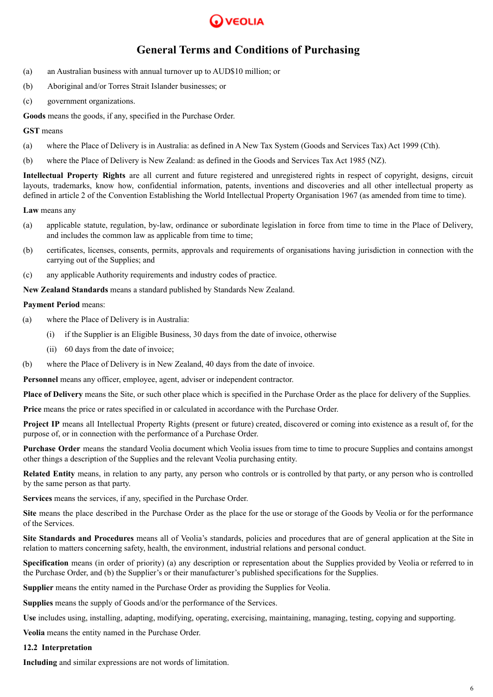

- (a) an Australian business with annual turnover up to AUD\$10 million; or
- (b) Aboriginal and/or Torres Strait Islander businesses; or
- (c) government organizations.

**Goods** means the goods, if any, specified in the Purchase Order.

### **GST** means

- (a) where the Place of Delivery is in Australia: as defined in A New Tax System (Goods and Services Tax) Act 1999 (Cth).
- (b) where the Place of Delivery is New Zealand: as defined in the Goods and Services Tax Act 1985 (NZ).

**Intellectual Property Rights** are all current and future registered and unregistered rights in respect of copyright, designs, circuit layouts, trademarks, know how, confidential information, patents, inventions and discoveries and all other intellectual property as defined in article 2 of the Convention Establishing the World Intellectual Property Organisation 1967 (as amended from time to time).

**Law** means any

- (a) applicable statute, regulation, by-law, ordinance or subordinate legislation in force from time to time in the Place of Delivery, and includes the common law as applicable from time to time;
- (b) certificates, licenses, consents, permits, approvals and requirements of organisations having jurisdiction in connection with the carrying out of the Supplies; and
- (c) any applicable Authority requirements and industry codes of practice.

**New Zealand Standards** means a standard published by Standards New Zealand.

# **Payment Period** means:

- (a) where the Place of Delivery is in Australia:
	- (i) if the Supplier is an Eligible Business, 30 days from the date of invoice, otherwise
	- (ii) 60 days from the date of invoice;
- (b) where the Place of Delivery is in New Zealand, 40 days from the date of invoice.

**Personnel** means any officer, employee, agent, adviser or independent contractor.

**Place of Delivery** means the Site, or such other place which is specified in the Purchase Order as the place for delivery of the Supplies.

**Price** means the price or rates specified in or calculated in accordance with the Purchase Order.

**Project IP** means all Intellectual Property Rights (present or future) created, discovered or coming into existence as a result of, for the purpose of, or in connection with the performance of a Purchase Order.

**Purchase Order** means the standard Veolia document which Veolia issues from time to time to procure Supplies and contains amongst other things a description of the Supplies and the relevant Veolia purchasing entity.

**Related Entity** means, in relation to any party, any person who controls or is controlled by that party, or any person who is controlled by the same person as that party.

**Services** means the services, if any, specified in the Purchase Order.

**Site** means the place described in the Purchase Order as the place for the use or storage of the Goods by Veolia or for the performance of the Services.

**Site Standards and Procedures** means all of Veolia's standards, policies and procedures that are of general application at the Site in relation to matters concerning safety, health, the environment, industrial relations and personal conduct.

**Specification** means (in order of priority) (a) any description or representation about the Supplies provided by Veolia or referred to in the Purchase Order, and (b) the Supplier's or their manufacturer's published specifications for the Supplies.

**Supplier** means the entity named in the Purchase Order as providing the Supplies for Veolia.

**Supplies** means the supply of Goods and/or the performance of the Services.

**Use** includes using, installing, adapting, modifying, operating, exercising, maintaining, managing, testing, copying and supporting.

**Veolia** means the entity named in the Purchase Order.

### **12.2 Interpretation**

**Including** and similar expressions are not words of limitation.